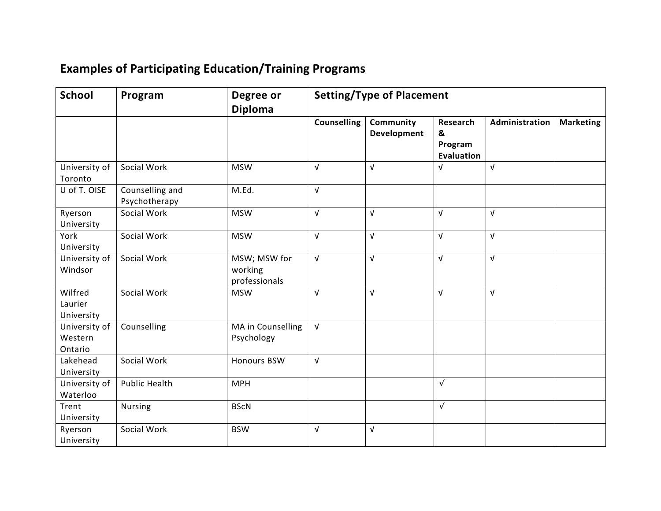## **Examples of Participating Education/Training Programs**

| <b>School</b>                       | Program                          | Degree or<br><b>Diploma</b>              | <b>Setting/Type of Placement</b> |                                 |                                               |                |                  |
|-------------------------------------|----------------------------------|------------------------------------------|----------------------------------|---------------------------------|-----------------------------------------------|----------------|------------------|
|                                     |                                  |                                          | Counselling                      | Community<br><b>Development</b> | Research<br>&<br>Program<br><b>Evaluation</b> | Administration | <b>Marketing</b> |
| University of<br>Toronto            | Social Work                      | <b>MSW</b>                               | $\sqrt{ }$                       | V                               | $\sqrt{ }$                                    | $\sqrt{ }$     |                  |
| U of T. OISE                        | Counselling and<br>Psychotherapy | M.Ed.                                    | $\sqrt{ }$                       |                                 |                                               |                |                  |
| Ryerson<br>University               | Social Work                      | <b>MSW</b>                               | $\sqrt{ }$                       | V                               | $\sqrt{ }$                                    | $\sqrt{ }$     |                  |
| York<br>University                  | Social Work                      | <b>MSW</b>                               | $\sqrt{ }$                       | $\sqrt{ }$                      | $\sqrt{ }$                                    | $\sqrt{ }$     |                  |
| University of<br>Windsor            | Social Work                      | MSW; MSW for<br>working<br>professionals | $\sqrt{ }$                       | V                               | $\sqrt{ }$                                    | $\sqrt{ }$     |                  |
| Wilfred<br>Laurier<br>University    | Social Work                      | <b>MSW</b>                               | $\sqrt{ }$                       | $\sqrt{ }$                      | $\sqrt{ }$                                    | $\sqrt{ }$     |                  |
| University of<br>Western<br>Ontario | Counselling                      | MA in Counselling<br>Psychology          | $\sqrt{ }$                       |                                 |                                               |                |                  |
| Lakehead<br>University              | Social Work                      | <b>Honours BSW</b>                       | $\sqrt{ }$                       |                                 |                                               |                |                  |
| University of<br>Waterloo           | <b>Public Health</b>             | <b>MPH</b>                               |                                  |                                 | $\overline{\sqrt{ }}$                         |                |                  |
| Trent<br>University                 | <b>Nursing</b>                   | <b>BScN</b>                              |                                  |                                 | $\sqrt{ }$                                    |                |                  |
| Ryerson<br>University               | Social Work                      | <b>BSW</b>                               | $\sqrt{ }$                       | $\sqrt{ }$                      |                                               |                |                  |